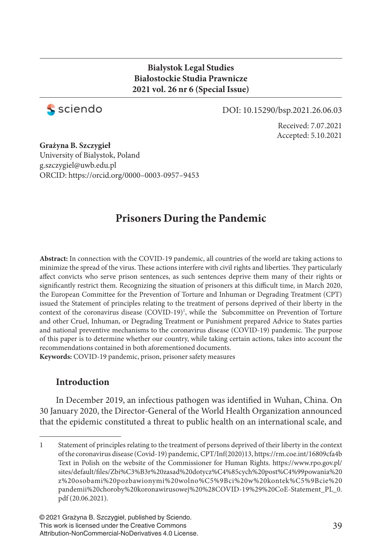### **Bialystok Legal Studies Białostockie Studia Prawnicze 2021 vol. 26 nr 6 (Special Issue)**



### DOI: 10.15290/bsp.2021.26.06.03

Received: 7.07.2021 Accepted: 5.10.2021

**Grażyna B. Szczygieł** University of Bialystok, Poland g.szczygiel@uwb.edu.pl ORCID: https://orcid.org/0000–0003-0957–9453

# **Prisoners During the Pandemic**

**Abstract:** In connection with the COVID-19 pandemic, all countries of the world are taking actions to minimize the spread of the virus. These actions interfere with civil rights and liberties. They particularly affect convicts who serve prison sentences, as such sentences deprive them many of their rights or significantly restrict them. Recognizing the situation of prisoners at this difficult time, in March 2020, the European Committee for the Prevention of Torture and Inhuman or Degrading Treatment (CPT) issued the Statement of principles relating to the treatment of persons deprived of their liberty in the context of the coronavirus disease (COVID-19)<sup>1</sup>, while the Subcommittee on Prevention of Torture and other Cruel, Inhuman, or Degrading Treatment or Punishment prepared Advice to States parties and national preventive mechanisms to the coronavirus disease (COVID-19) pandemic. The purpose of this paper is to determine whether our country, while taking certain actions, takes into account the recommendations contained in both aforementioned documents.

**Keywords:** COVID-19 pandemic, prison, prisoner safety measures

## **Introduction**

In December 2019, an infectious pathogen was identified in Wuhan, China. On 30 January 2020, the Director-General of the World Health Organization announced that the epidemic constituted a threat to public health on an international scale, and

<sup>1</sup> Statement of principles relating to the treatment of persons deprived of their liberty in the context of the coronavirus disease (Covid-19) pandemic, CPT/Inf(2020)13, https://rm.coe.int/16809cfa4b Text in Polish on the website of the Commissioner for Human Rights. https://www.rpo.gov.pl/ sites/default/fi les/Zbi%C3%B3r%20zasad%20dotycz%C4%85cych%20post%C4%99powania%20 z%20osobami%20pozbawionymi%20wolno%C5%9Bci%20w%20kontek%C5%9Bcie%20 pandemii%20choroby%20koronawirusowej%20%28COVID-19%29%20CoE-Statement\_PL\_0. pdf (20.06.2021).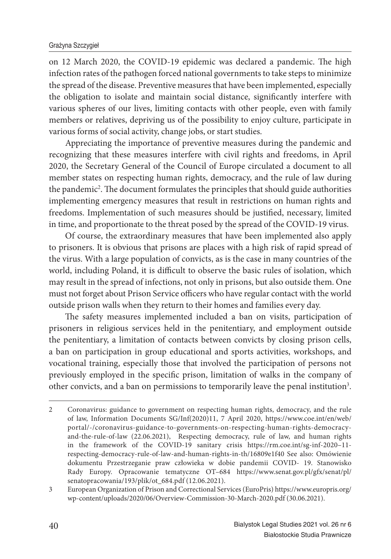on 12 March 2020, the COVID-19 epidemic was declared a pandemic. The high infection rates of the pathogen forced national governments to take steps to minimize the spread of the disease. Preventive measures that have been implemented, especially the obligation to isolate and maintain social distance, significantly interfere with various spheres of our lives, limiting contacts with other people, even with family members or relatives, depriving us of the possibility to enjoy culture, participate in various forms of social activity, change jobs, or start studies.

Appreciating the importance of preventive measures during the pandemic and recognizing that these measures interfere with civil rights and freedoms, in April 2020, the Secretary General of the Council of Europe circulated a document to all member states on respecting human rights, democracy, and the rule of law during the pandemic<sup>2</sup>. The document formulates the principles that should guide authorities implementing emergency measures that result in restrictions on human rights and freedoms. Implementation of such measures should be justified, necessary, limited in time, and proportionate to the threat posed by the spread of the COVID-19 virus.

Of course, the extraordinary measures that have been implemented also apply to prisoners. It is obvious that prisons are places with a high risk of rapid spread of the virus. With a large population of convicts, as is the case in many countries of the world, including Poland, it is difficult to observe the basic rules of isolation, which may result in the spread of infections, not only in prisons, but also outside them. One must not forget about Prison Service officers who have regular contact with the world outside prison walls when they return to their homes and families every day.

The safety measures implemented included a ban on visits, participation of prisoners in religious services held in the penitentiary, and employment outside the penitentiary, a limitation of contacts between convicts by closing prison cells, a ban on participation in group educational and sports activities, workshops, and vocational training, especially those that involved the participation of persons not previously employed in the specific prison, limitation of walks in the company of other convicts, and a ban on permissions to temporarily leave the penal institution<sup>3</sup>.

<sup>2</sup> Coronavirus: guidance to government on respecting human rights, democracy, and the rule of law, Information Documents SG/Inf(2020)11, 7 April 2020, https://www.coe.int/en/web/ portal/-/coronavirus-guidance-to-governments-on-respecting-human-rights-democracyand-the-rule-of-law (22.06.2021), Respecting democracy, rule of law, and human rights in the framework of the COVID-19 sanitary crisis https://rm.coe.int/sg-inf-2020–11 respecting-democracy-rule-of-law-and-human-rights-in-th/16809e1f40 See also: Omówienie dokumentu Przestrzeganie praw człowieka w dobie pandemii COVID- 19. Stanowisko Rady Europy. Opracowanie tematyczne OT–684 https://www.senat.gov.pl/gfx/senat/pl/ senatopracowania/193/plik/ot\_684.pdf (12.06.2021).

<sup>3</sup> European Organization of Prison and Correctional Services (EuroPris) https://www.europris.org/ wp-content/uploads/2020/06/Overview-Commission-30-March-2020.pdf (30.06.2021).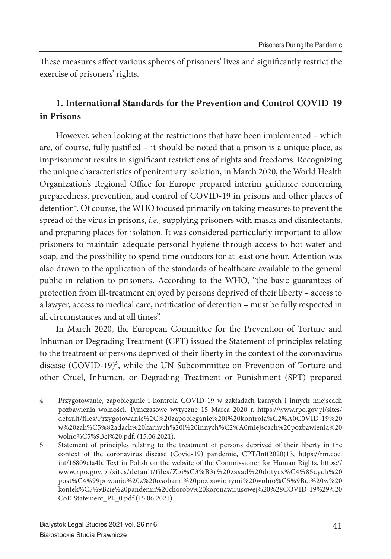These measures affect various spheres of prisoners' lives and significantly restrict the exercise of prisoners' rights.

## **1. International Standards for the Prevention and Control COVID-19 in Prisons**

However, when looking at the restrictions that have been implemented – which are, of course, fully justified - it should be noted that a prison is a unique place, as imprisonment results in significant restrictions of rights and freedoms. Recognizing the unique characteristics of penitentiary isolation, in March 2020, the World Health Organization's Regional Office for Europe prepared interim guidance concerning preparedness, prevention, and control of COVID-19 in prisons and other places of detention<sup>4</sup>. Of course, the WHO focused primarily on taking measures to prevent the spread of the virus in prisons, *i.e.*, supplying prisoners with masks and disinfectants, and preparing places for isolation. It was considered particularly important to allow prisoners to maintain adequate personal hygiene through access to hot water and soap, and the possibility to spend time outdoors for at least one hour. Attention was also drawn to the application of the standards of healthcare available to the general public in relation to prisoners. According to the WHO, "the basic guarantees of protection from ill-treatment enjoyed by persons deprived of their liberty – access to a lawyer, access to medical care, notification of detention – must be fully respected in all circumstances and at all times".

In March 2020, the European Committee for the Prevention of Torture and Inhuman or Degrading Treatment (CPT) issued the Statement of principles relating to the treatment of persons deprived of their liberty in the context of the coronavirus disease (COVID-19)<sup>5</sup>, while the UN Subcommittee on Prevention of Torture and other Cruel, Inhuman, or Degrading Treatment or Punishment (SPT) prepared

<sup>4</sup> Przygotowanie, zapobieganie i kontrola COVID-19 w zakładach karnych i innych miejscach pozbawienia wolności. Tymczasowe wytyczne 15 Marca 2020 r. https://www.rpo.gov.pl/sites/ default/files/Przygotowanie%2C%20zapobieganie%20i%20kontrola%C2%A0C0VID-19%20 w%20zak%C5%82adach%20karnych%20i%20innych%C2%A0miejscach%20pozbawienia%20 wolno%C5%9Bci%20.pdf. (15.06.2021).

<sup>5</sup> Statement of principles relating to the treatment of persons deprived of their liberty in the context of the coronavirus disease (Covid-19) pandemic, CPT/Inf(2020)13, https://rm.coe. int/16809cfa4b. Text in Polish on the website of the Commissioner for Human Rights. https:// www.rpo.gov.pl/sites/default/files/Zbi%C3%B3r%20zasad%20dotycz%C4%85cych%20 post%C4%99powania%20z%20osobami%20pozbawionymi%20wolno%C5%9Bci%20w%20 kontek%C5%9Bcie%20pandemii%20choroby%20koronawirusowej%20%28COVID-19%29%20 CoE-Statement\_PL\_0.pdf (15.06.2021).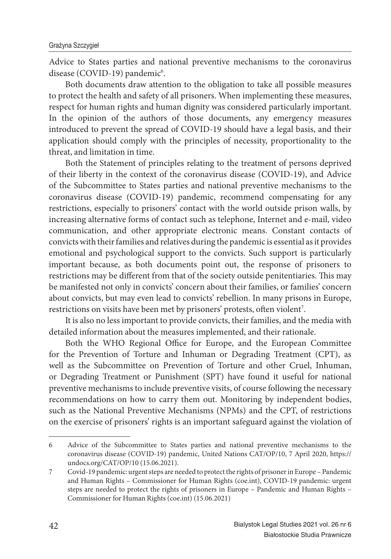Advice to States parties and national preventive mechanisms to the coronavirus disease (COVID-19) pandemic<sup>6</sup>.

Both documents draw attention to the obligation to take all possible measures to protect the health and safety of all prisoners. When implementing these measures, respect for human rights and human dignity was considered particularly important. In the opinion of the authors of those documents, any emergency measures introduced to prevent the spread of COVID-19 should have a legal basis, and their application should comply with the principles of necessity, proportionality to the threat, and limitation in time.

Both the Statement of principles relating to the treatment of persons deprived of their liberty in the context of the coronavirus disease (COVID-19), and Advice of the Subcommittee to States parties and national preventive mechanisms to the coronavirus disease (COVID-19) pandemic, recommend compensating for any restrictions, especially to prisoners' contact with the world outside prison walls, by increasing alternative forms of contact such as telephone, Internet and e-mail, video communication, and other appropriate electronic means. Constant contacts of convicts with their families and relatives during the pandemic is essential as it provides emotional and psychological support to the convicts. Such support is particularly important because, as both documents point out, the response of prisoners to restrictions may be different from that of the society outside penitentiaries. This may be manifested not only in convicts' concern about their families, or families' concern about convicts, but may even lead to convicts' rebellion. In many prisons in Europe, restrictions on visits have been met by prisoners' protests, often violent<sup>7</sup>.

It is also no less important to provide convicts, their families, and the media with detailed information about the measures implemented, and their rationale.

Both the WHO Regional Office for Europe, and the European Committee for the Prevention of Torture and Inhuman or Degrading Treatment (CPT), as well as the Subcommittee on Prevention of Torture and other Cruel, Inhuman, or Degrading Treatment or Punishment (SPT) have found it useful for national preventive mechanisms to include preventive visits, of course following the necessary recommendations on how to carry them out. Monitoring by independent bodies, such as the National Preventive Mechanisms (NPMs) and the CPT, of restrictions on the exercise of prisoners' rights is an important safeguard against the violation of

<sup>6</sup> Advice of the Subcommittee to States parties and national preventive mechanisms to the coronavirus disease (COVID-19) pandemic, United Nations CAT/OP/10, 7 April 2020, https:// undocs.org/CAT/OP/10 (15.06.2021).

<sup>7</sup> Covid-19 pandemic: urgent steps are needed to protect the rights of prisoner in Europe – Pandemic and Human Rights – Commissioner for Human Rights (coe.int), COVID-19 pandemic: urgent steps are needed to protect the rights of prisoners in Europe – Pandemic and Human Rights – Commissioner for Human Rights (coe.int) (15.06.2021)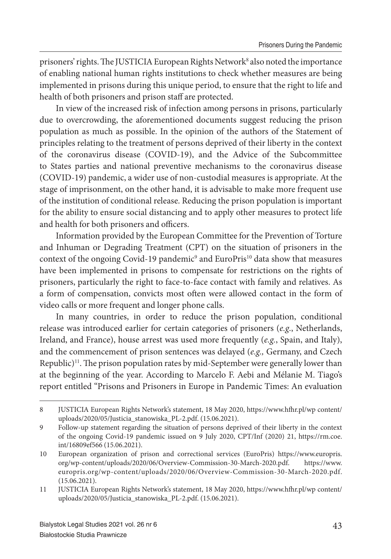prisoners' rights. The JUSTICIA European Rights Network<sup>8</sup> also noted the importance of enabling national human rights institutions to check whether measures are being implemented in prisons during this unique period, to ensure that the right to life and health of both prisoners and prison staff are protected.

In view of the increased risk of infection among persons in prisons, particularly due to overcrowding, the aforementioned documents suggest reducing the prison population as much as possible. In the opinion of the authors of the Statement of principles relating to the treatment of persons deprived of their liberty in the context of the coronavirus disease (COVID-19), and the Advice of the Subcommittee to States parties and national preventive mechanisms to the coronavirus disease (COVID-19) pandemic, a wider use of non-custodial measures is appropriate. At the stage of imprisonment, on the other hand, it is advisable to make more frequent use of the institution of conditional release. Reducing the prison population is important for the ability to ensure social distancing and to apply other measures to protect life and health for both prisoners and officers.

Information provided by the European Committee for the Prevention of Torture and Inhuman or Degrading Treatment (CPT) on the situation of prisoners in the context of the ongoing Covid-19 pandemic<sup>9</sup> and EuroPris<sup>10</sup> data show that measures have been implemented in prisons to compensate for restrictions on the rights of prisoners, particularly the right to face-to-face contact with family and relatives. As a form of compensation, convicts most often were allowed contact in the form of video calls or more frequent and longer phone calls.

In many countries, in order to reduce the prison population, conditional release was introduced earlier for certain categories of prisoners (*e.g*., Netherlands, Ireland, and France), house arrest was used more frequently (*e.g.*, Spain, and Italy), and the commencement of prison sentences was delayed (*e.g.,* Germany, and Czech Republic)<sup>11</sup>. The prison population rates by mid-September were generally lower than at the beginning of the year. According to Marcelo F. Aebi and Mélanie M. Tiago's report entitled "Prisons and Prisoners in Europe in Pandemic Times: An evaluation

<sup>8</sup> JUSTICIA European Rights Network's statement, 18 May 2020, https://www.hfhr.pl/wp content/ uploads/2020/05/Justicia\_stanowiska\_PL-2.pdf. (15.06.2021).

<sup>9</sup> Follow-up statement regarding the situation of persons deprived of their liberty in the context of the ongoing Covid-19 pandemic issued on 9 July 2020, CPT/Inf (2020) 21, https://rm.coe. int/16809ef566 (15.06.2021).

<sup>10</sup> European organization of prison and correctional services (EuroPris) https://www.europris. org/wp-content/uploads/2020/06/Overview-Commission-30-March-2020.pdf. https://www. europris.org/wp-content/uploads/2020/06/Overview-Commission-30-March-2020.pdf. (15.06.2021).

<sup>11</sup> JUSTICIA European Rights Network's statement, 18 May 2020, https://www.hfhr.pl/wp content/ uploads/2020/05/Justicia\_stanowiska\_PL-2.pdf. (15.06.2021).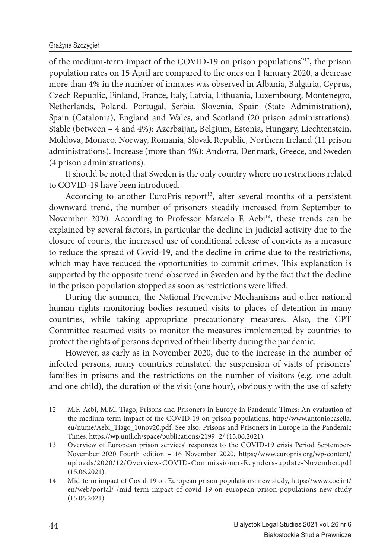of the medium-term impact of the COVID-19 on prison populations"<sup>12</sup>, the prison population rates on 15 April are compared to the ones on 1 January 2020, a decrease more than 4% in the number of inmates was observed in Albania, Bulgaria, Cyprus, Czech Republic, Finland, France, Italy, Latvia, Lithuania, Luxembourg, Montenegro, Netherlands, Poland, Portugal, Serbia, Slovenia, Spain (State Administration), Spain (Catalonia), England and Wales, and Scotland (20 prison administrations). Stable (between – 4 and 4%): Azerbaijan, Belgium, Estonia, Hungary, Liechtenstein, Moldova, Monaco, Norway, Romania, Slovak Republic, Northern Ireland (11 prison administrations). Increase (more than 4%): Andorra, Denmark, Greece, and Sweden (4 prison administrations).

It should be noted that Sweden is the only country where no restrictions related to COVID-19 have been introduced.

According to another EuroPris report<sup>13</sup>, after several months of a persistent downward trend, the number of prisoners steadily increased from September to November 2020. According to Professor Marcelo F. Aebi<sup>14</sup>, these trends can be explained by several factors, in particular the decline in judicial activity due to the closure of courts, the increased use of conditional release of convicts as a measure to reduce the spread of Covid-19, and the decline in crime due to the restrictions, which may have reduced the opportunities to commit crimes. This explanation is supported by the opposite trend observed in Sweden and by the fact that the decline in the prison population stopped as soon as restrictions were lifted.

During the summer, the National Preventive Mechanisms and other national human rights monitoring bodies resumed visits to places of detention in many countries, while taking appropriate precautionary measures. Also, the CPT Committee resumed visits to monitor the measures implemented by countries to protect the rights of persons deprived of their liberty during the pandemic.

However, as early as in November 2020, due to the increase in the number of infected persons, many countries reinstated the suspension of visits of prisoners' families in prisons and the restrictions on the number of visitors (e.g. one adult and one child), the duration of the visit (one hour), obviously with the use of safety

<sup>12</sup> M.F. Aebi, M.M. Tiago, Prisons and Prisoners in Europe in Pandemic Times: An evaluation of the medium-term impact of the COVID-19 on prison populations, http://www.antoniocasella. eu/nume/Aebi\_Tiago\_10nov20.pdf. See also: Prisons and Prisoners in Europe in the Pandemic Times, https://wp.unil.ch/space/publications/2199–2/ (15.06.2021).

<sup>13</sup> Overview of European prison services' responses to the COVID-19 crisis Period September-November 2020 Fourth edition – 16 November 2020, https://www.europris.org/wp-content/ uploads/2020/12/Overview-COVID-Commissioner-Reynders-update-November.pdf (15.06.2021).

<sup>14</sup> Mid-term impact of Covid-19 on European prison populations: new study, https://www.coe.int/ en/web/portal/-/mid-term-impact-of-covid-19-on-european-prison-populations-new-study (15.06.2021).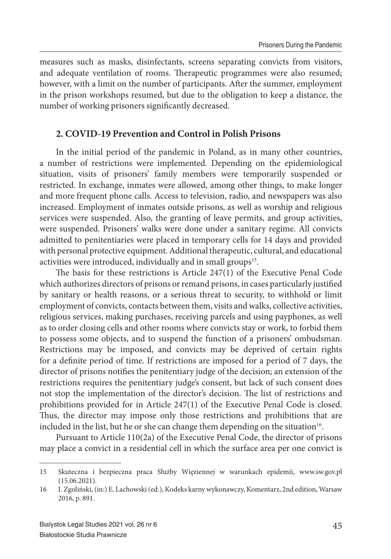measures such as masks, disinfectants, screens separating convicts from visitors, and adequate ventilation of rooms. Therapeutic programmes were also resumed; however, with a limit on the number of participants. After the summer, employment in the prison workshops resumed, but due to the obligation to keep a distance, the number of working prisoners significantly decreased.

### **2. COVID-19 Prevention and Control in Polish Prisons**

In the initial period of the pandemic in Poland, as in many other countries, a number of restrictions were implemented. Depending on the epidemiological situation, visits of prisoners' family members were temporarily suspended or restricted. In exchange, inmates were allowed, among other things, to make longer and more frequent phone calls. Access to television, radio, and newspapers was also increased. Employment of inmates outside prisons, as well as worship and religious services were suspended. Also, the granting of leave permits, and group activities, were suspended. Prisoners' walks were done under a sanitary regime. All convicts admitted to penitentiaries were placed in temporary cells for 14 days and provided with personal protective equipment. Additional therapeutic, cultural, and educational activities were introduced, individually and in small groups<sup>15</sup>.

The basis for these restrictions is Article  $247(1)$  of the Executive Penal Code which authorizes directors of prisons or remand prisons, in cases particularly justified by sanitary or health reasons, or a serious threat to security, to withhold or limit employment of convicts, contacts between them, visits and walks, collective activities, religious services, making purchases, receiving parcels and using payphones, as well as to order closing cells and other rooms where convicts stay or work, to forbid them to possess some objects, and to suspend the function of a prisoners' ombudsman. Restrictions may be imposed, and convicts may be deprived of certain rights for a definite period of time. If restrictions are imposed for a period of 7 days, the director of prisons notifies the penitentiary judge of the decision; an extension of the restrictions requires the penitentiary judge's consent, but lack of such consent does not stop the implementation of the director's decision. The list of restrictions and prohibitions provided for in Article 247(1) of the Executive Penal Code is closed. Thus, the director may impose only those restrictions and prohibitions that are included in the list, but he or she can change them depending on the situation<sup>16</sup>.

Pursuant to Article 110(2a) of the Executive Penal Code, the director of prisons may place a convict in a residential cell in which the surface area per one convict is

<sup>15</sup> Skuteczna i bezpieczna praca Służby Więziennej w warunkach epidemii, www.sw.gov.pl (15.06.2021).

<sup>16</sup> I. Zgoliński, (in:) E. Lachowski (ed.), Kodeks karny wykonawczy, Komentarz, 2nd edition, Warsaw 2016, p. 891.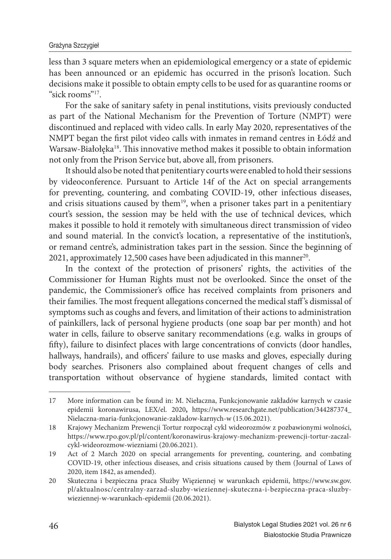less than 3 square meters when an epidemiological emergency or a state of epidemic has been announced or an epidemic has occurred in the prison's location. Such decisions make it possible to obtain empty cells to be used for as quarantine rooms or "sick rooms"<sup>17</sup>.

For the sake of sanitary safety in penal institutions, visits previously conducted as part of the National Mechanism for the Prevention of Torture (NMPT) were discontinued and replaced with video calls. In early May 2020, representatives of the NMPT began the first pilot video calls with inmates in remand centres in Łódź and Warsaw-Białołęka<sup>18</sup>. This innovative method makes it possible to obtain information not only from the Prison Service but, above all, from prisoners.

It should also be noted that penitentiary courts were enabled to hold their sessions by videoconference. Pursuant to Article 14f of the Act on special arrangements for preventing, countering, and combating COVID-19, other infectious diseases, and crisis situations caused by them<sup>19</sup>, when a prisoner takes part in a penitentiary court's session, the session may be held with the use of technical devices, which makes it possible to hold it remotely with simultaneous direct transmission of video and sound material. In the convict's location, a representative of the institution's, or remand centre's, administration takes part in the session. Since the beginning of 2021, approximately 12,500 cases have been adjudicated in this manner<sup>20</sup>.

In the context of the protection of prisoners' rights, the activities of the Commissioner for Human Rights must not be overlooked. Since the onset of the pandemic, the Commissioner's office has received complaints from prisoners and their families. The most frequent allegations concerned the medical staff's dismissal of symptoms such as coughs and fevers, and limitation of their actions to administration of painkillers, lack of personal hygiene products (one soap bar per month) and hot water in cells, failure to observe sanitary recommendations (e.g. walks in groups of fifty), failure to disinfect places with large concentrations of convicts (door handles, hallways, handrails), and officers' failure to use masks and gloves, especially during body searches. Prisoners also complained about frequent changes of cells and transportation without observance of hygiene standards, limited contact with

<sup>17</sup> More information can be found in: M. Niełaczna, Funkcjonowanie zakładów karnych w czasie epidemii koronawirusa, LEX/el. 2020**,** https://www.researchgate.net/publication/344287374\_ Nielaczna-maria-funkcjonowanie-zakladow-karnych-w (15.06.2021).

<sup>18</sup> Krajowy Mechanizm Prewencji Tortur rozpoczął cykl wideorozmów z pozbawionymi wolności, https://www.rpo.gov.pl/pl/content/koronawirus-krajowy-mechanizm-prewencji-tortur-zaczalcykl-wideorozmow-wiezniami (20.06.2021).

<sup>19</sup> Act of 2 March 2020 on special arrangements for preventing, countering, and combating COVID-19, other infectious diseases, and crisis situations caused by them (Journal of Laws of 2020, item 1842, as amended).

<sup>20</sup> Skuteczna i bezpieczna praca Służby Więziennej w warunkach epidemii, https://www.sw.gov. pl/aktualnosc/centralny-zarzad-sluzby-wieziennej-skuteczna-i-bezpieczna-praca-sluzbywieziennej-w-warunkach-epidemii (20.06.2021).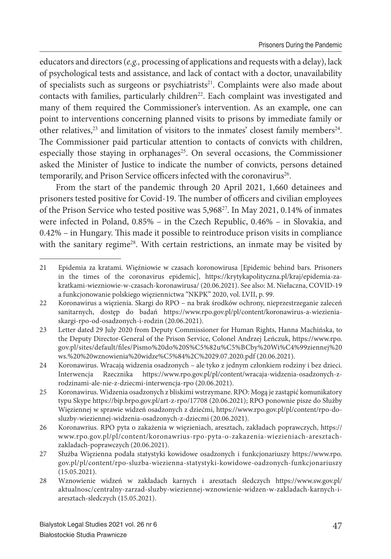educators and directors (*e.g.,* processing of applications and requests with a delay), lack of psychological tests and assistance, and lack of contact with a doctor, unavailability of specialists such as surgeons or psychiatrists<sup>21</sup>. Complaints were also made about contacts with families, particularly children<sup>22</sup>. Each complaint was investigated and many of them required the Commissioner's intervention. As an example, one can point to interventions concerning planned visits to prisons by immediate family or other relatives, $23$  and limitation of visitors to the inmates' closest family members $24$ . The Commissioner paid particular attention to contacts of convicts with children, especially those staying in orphanages<sup>25</sup>. On several occasions, the Commissioner asked the Minister of Justice to indicate the number of convicts, persons detained temporarily, and Prison Service officers infected with the coronavirus<sup>26</sup>.

From the start of the pandemic through 20 April 2021, 1,660 detainees and prisoners tested positive for Covid-19. The number of officers and civilian employees of the Prison Service who tested positive was 5,968<sup>27</sup>. In May 2021, 0.14% of inmates were infected in Poland, 0.85% – in the Czech Republic, 0.46% – in Slovakia, and  $0.42\%$  – in Hungary. This made it possible to reintroduce prison visits in compliance with the sanitary regime<sup>28</sup>. With certain restrictions, an inmate may be visited by

<sup>21</sup> Epidemia za kratami. Więźniowie w czasach koronowirusa [Epidemic behind bars. Prisoners in the times of the coronavirus epidemic], https://krytykapolityczna.pl/kraj/epidemia-zakratkami-wiezniowie-w-czasach-koronawirusa/ (20.06.2021). See also: M. Niełaczna, COVID-19 a funkcjonowanie polskiego więziennictwa "NKPK" 2020, vol. LVII, p. 99.

<sup>22</sup> Koronawirus a więzienia. Skargi do RPO – na brak środków ochrony, nieprzestrzeganie zaleceń sanitarnych, dostęp do badań https://www.rpo.gov.pl/pl/content/koronawirus-a-wiezieniaskargi-rpo-od-osadzonych-i-rodzin (20.06.2021).

<sup>23</sup> Letter dated 29 July 2020 from Deputy Commissioner for Human Rights, Hanna Machińska, to the Deputy Director-General of the Prison Service, Colonel Andrzej Leńczuk, https://www.rpo. gov.pl/sites/default/files/Pismo%20do%20S%C5%82u%C5%BCby%20Wi%C4%99ziennej%20 ws.%20%20wznowienia%20widze%C5%84%2C%2029.07.2020.pdf (20.06.2021).

<sup>24</sup> Koronawirus. Wracają widzenia osadzonych – ale tyko z jednym członkiem rodziny i bez dzieci. Interwencja Rzecznika https://www.rpo.gov.pl/pl/content/wracaja-widzenia-osadzonych-zrodzinami-ale-nie-z-dziecmi-interwencja-rpo (20.06.2021).

<sup>25</sup> Koronawirus. Widzenia osadzonych z bliskimi wstrzymane. RPO: Mogą je zastąpić komunikatory typu Skype https://bip.brpo.gov.pl/art-z-rpo/17708 (20.06.2021); RPO ponownie pisze do Służby Więziennej w sprawie widzeń osadzonych z dziećmi, https://www.rpo.gov.pl/pl/content/rpo-dosluzby-wieziennej-widzenia-osadzonych-z-dziecmi (20.06.2021).

<sup>26</sup> Koronawrius. RPO pyta o zakażenia w więzieniach, aresztach, zakładach poprawczych, https:// www.rpo.gov.pl/pl/content/koronawrius-rpo-pyta-o-zakazenia-wiezieniach-aresztachzakladach-poprawczych (20.06.2021).

<sup>27</sup> Służba Więzienna podała statystyki kowidowe osadzonych i funkcjonariuszy https://www.rpo. gov.pl/pl/content/rpo-sluzba-wiezienna-statystyki-kowidowe-oadzonych-funkcjonariuszy (15.05.2021).

<sup>28</sup> Wznowienie widzeń w zakładach karnych i aresztach śledczych https://www.sw.gov.pl/ aktualnosc/centralny-zarzad-sluzby-wieziennej-wznowienie-widzen-w-zakladach-karnych-iaresztach-sledczych (15.05.2021).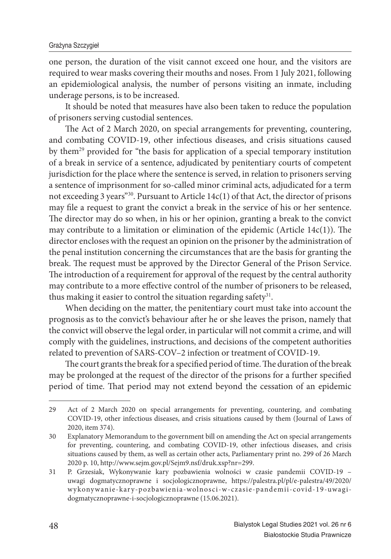one person, the duration of the visit cannot exceed one hour, and the visitors are required to wear masks covering their mouths and noses. From 1 July 2021, following an epidemiological analysis, the number of persons visiting an inmate, including underage persons, is to be increased.

It should be noted that measures have also been taken to reduce the population of prisoners serving custodial sentences.

The Act of 2 March 2020, on special arrangements for preventing, countering, and combating COVID-19, other infectious diseases, and crisis situations caused by them<sup>29</sup> provided for "the basis for application of a special temporary institution of a break in service of a sentence, adjudicated by penitentiary courts of competent jurisdiction for the place where the sentence is served, in relation to prisoners serving a sentence of imprisonment for so-called minor criminal acts, adjudicated for a term not exceeding 3 years"<sup>30</sup>. Pursuant to Article 14c(1) of that Act, the director of prisons may file a request to grant the convict a break in the service of his or her sentence. The director may do so when, in his or her opinion, granting a break to the convict may contribute to a limitation or elimination of the epidemic (Article  $14c(1)$ ). The director encloses with the request an opinion on the prisoner by the administration of the penal institution concerning the circumstances that are the basis for granting the break. The request must be approved by the Director General of the Prison Service. The introduction of a requirement for approval of the request by the central authority may contribute to a more effective control of the number of prisoners to be released, thus making it easier to control the situation regarding safety<sup>31</sup>.

When deciding on the matter, the penitentiary court must take into account the prognosis as to the convict's behaviour after he or she leaves the prison, namely that the convict will observe the legal order, in particular will not commit a crime, and will comply with the guidelines, instructions, and decisions of the competent authorities related to prevention of SARS-COV–2 infection or treatment of COVID-19.

The court grants the break for a specified period of time. The duration of the break may be prolonged at the request of the director of the prisons for a further specified period of time. That period may not extend beyond the cessation of an epidemic

<sup>29</sup> Act of 2 March 2020 on special arrangements for preventing, countering, and combating COVID-19, other infectious diseases, and crisis situations caused by them (Journal of Laws of 2020, item 374).

<sup>30</sup> Explanatory Memorandum to the government bill on amending the Act on special arrangements for preventing, countering, and combating COVID-19, other infectious diseases, and crisis situations caused by them, as well as certain other acts, Parliamentary print no. 299 of 26 March 2020 p. 10, http://www.sejm.gov.pl/Sejm9.nsf/druk.xsp?nr=299.

<sup>31</sup> P. Grzesiak, Wykonywanie kary pozbawienia wolności w czasie pandemii COVID-19 – uwagi dogmatycznoprawne i socjologicznoprawne, https://palestra.pl/pl/e-palestra/49/2020/ wykonywanie-kary-pozbawienia-wolnosci-w-czasie-pandemii-covid-19-uwagidogmatycznoprawne-i-socjologicznoprawne (15.06.2021).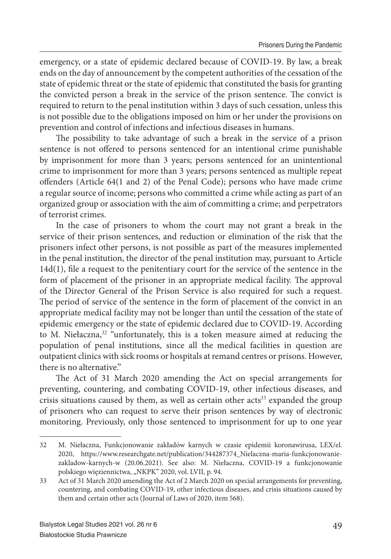emergency, or a state of epidemic declared because of COVID-19. By law, a break ends on the day of announcement by the competent authorities of the cessation of the state of epidemic threat or the state of epidemic that constituted the basis for granting the convicted person a break in the service of the prison sentence. The convict is required to return to the penal institution within 3 days of such cessation, unless this is not possible due to the obligations imposed on him or her under the provisions on prevention and control of infections and infectious diseases in humans.

The possibility to take advantage of such a break in the service of a prison sentence is not offered to persons sentenced for an intentional crime punishable by imprisonment for more than 3 years; persons sentenced for an unintentional crime to imprisonment for more than 3 years; persons sentenced as multiple repeat offenders (Article  $64(1 \text{ and } 2)$  of the Penal Code); persons who have made crime a regular source of income; persons who committed a crime while acting as part of an organized group or association with the aim of committing a crime; and perpetrators of terrorist crimes.

In the case of prisoners to whom the court may not grant a break in the service of their prison sentences, and reduction or elimination of the risk that the prisoners infect other persons, is not possible as part of the measures implemented in the penal institution, the director of the penal institution may, pursuant to Article  $14d(1)$ , file a request to the penitentiary court for the service of the sentence in the form of placement of the prisoner in an appropriate medical facility. The approval of the Director General of the Prison Service is also required for such a request. The period of service of the sentence in the form of placement of the convict in an appropriate medical facility may not be longer than until the cessation of the state of epidemic emergency or the state of epidemic declared due to COVID-19. According to M. Niełaczna,<sup>32</sup> "unfortunately, this is a token measure aimed at reducing the population of penal institutions, since all the medical facilities in question are outpatient clinics with sick rooms or hospitals at remand centres or prisons. However, there is no alternative."

The Act of 31 March 2020 amending the Act on special arrangements for preventing, countering, and combating COVID-19, other infectious diseases, and crisis situations caused by them, as well as certain other  $acts^{33}$  expanded the group of prisoners who can request to serve their prison sentences by way of electronic monitoring. Previously, only those sentenced to imprisonment for up to one year

<sup>32</sup> M. Niełaczna, Funkcjonowanie zakładów karnych w czasie epidemii koronawirusa, LEX/el. 2020, https://www.researchgate.net/publication/344287374\_Nielaczna-maria-funkcjonowaniezakladow-karnych-w (20.06.2021). See also: M. Niełaczna, COVID-19 a funkcjonowanie polskiego więziennictwa, "NKPK" 2020, vol. LVII, p. 94.

<sup>33</sup> Act of 31 March 2020 amending the Act of 2 March 2020 on special arrangements for preventing, countering, and combating COVID-19, other infectious diseases, and crisis situations caused by them and certain other acts (Journal of Laws of 2020, item 568).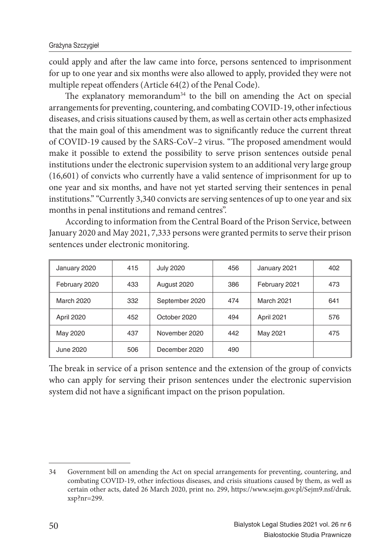could apply and after the law came into force, persons sentenced to imprisonment for up to one year and six months were also allowed to apply, provided they were not multiple repeat offenders (Article 64(2) of the Penal Code).

The explanatory memorandum<sup>34</sup> to the bill on amending the Act on special arrangements for preventing, countering, and combating COVID-19, other infectious diseases, and crisis situations caused by them, as well as certain other acts emphasized that the main goal of this amendment was to significantly reduce the current threat of COVID-19 caused by the SARS-CoV-2 virus. "The proposed amendment would make it possible to extend the possibility to serve prison sentences outside penal institutions under the electronic supervision system to an additional very large group (16,601) of convicts who currently have a valid sentence of imprisonment for up to one year and six months, and have not yet started serving their sentences in penal institutions." "Currently 3,340 convicts are serving sentences of up to one year and six months in penal institutions and remand centres".

According to information from the Central Board of the Prison Service, between January 2020 and May 2021, 7,333 persons were granted permits to serve their prison sentences under electronic monitoring.

| January 2020  | 415 | <b>July 2020</b> | 456 | January 2021      | 402 |
|---------------|-----|------------------|-----|-------------------|-----|
| February 2020 | 433 | August 2020      | 386 | February 2021     | 473 |
| March 2020    | 332 | September 2020   | 474 | <b>March 2021</b> | 641 |
| April 2020    | 452 | October 2020     | 494 | April 2021        | 576 |
| May 2020      | 437 | November 2020    | 442 | May 2021          | 475 |
| June 2020     | 506 | December 2020    | 490 |                   |     |

The break in service of a prison sentence and the extension of the group of convicts who can apply for serving their prison sentences under the electronic supervision system did not have a significant impact on the prison population.

<sup>34</sup> Government bill on amending the Act on special arrangements for preventing, countering, and combating COVID-19, other infectious diseases, and crisis situations caused by them, as well as certain other acts, dated 26 March 2020, print no. 299, https://www.sejm.gov.pl/Sejm9.nsf/druk. xsp?nr=299.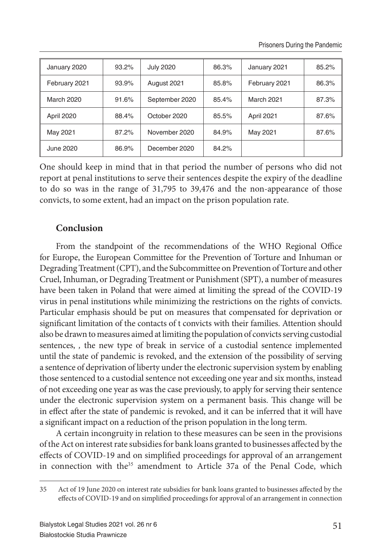| January 2020      | $93.2\%$ | <b>July 2020</b> | 86.3% | January 2021  | 85.2% |
|-------------------|----------|------------------|-------|---------------|-------|
| February 2021     | 93.9%    | August 2021      | 85.8% | February 2021 | 86.3% |
| <b>March 2020</b> | 91.6%    | September 2020   | 85.4% | March 2021    | 87.3% |
| April 2020        | 88.4%    | October 2020     | 85.5% | April 2021    | 87.6% |
| May 2021          | 87.2%    | November 2020    | 84.9% | May 2021      | 87.6% |
| June 2020         | 86.9%    | December 2020    | 84.2% |               |       |

One should keep in mind that in that period the number of persons who did not report at penal institutions to serve their sentences despite the expiry of the deadline to do so was in the range of 31,795 to 39,476 and the non-appearance of those convicts, to some extent, had an impact on the prison population rate.

## **Conclusion**

From the standpoint of the recommendations of the WHO Regional Office for Europe, the European Committee for the Prevention of Torture and Inhuman or Degrading Treatment (CPT), and the Subcommittee on Prevention of Torture and other Cruel, Inhuman, or Degrading Treatment or Punishment (SPT), a number of measures have been taken in Poland that were aimed at limiting the spread of the COVID-19 virus in penal institutions while minimizing the restrictions on the rights of convicts. Particular emphasis should be put on measures that compensated for deprivation or significant limitation of the contacts of t convicts with their families. Attention should also be drawn to measures aimed at limiting the population of convicts serving custodial sentences, *,* the new type of break in service of a custodial sentence implemented until the state of pandemic is revoked, and the extension of the possibility of serving a sentence of deprivation of liberty under the electronic supervision system by enabling those sentenced to a custodial sentence not exceeding one year and six months, instead of not exceeding one year as was the case previously, to apply for serving their sentence under the electronic supervision system on a permanent basis. This change will be in effect after the state of pandemic is revoked, and it can be inferred that it will have a significant impact on a reduction of the prison population in the long term.

A certain incongruity in relation to these measures can be seen in the provisions of the Act on interest rate subsidies for bank loans granted to businesses affected by the effects of COVID-19 and on simplified proceedings for approval of an arrangement in connection with the<sup>35</sup> amendment to Article 37a of the Penal Code, which

<sup>35</sup> Act of 19 June 2020 on interest rate subsidies for bank loans granted to businesses affected by the effects of COVID-19 and on simplified proceedings for approval of an arrangement in connection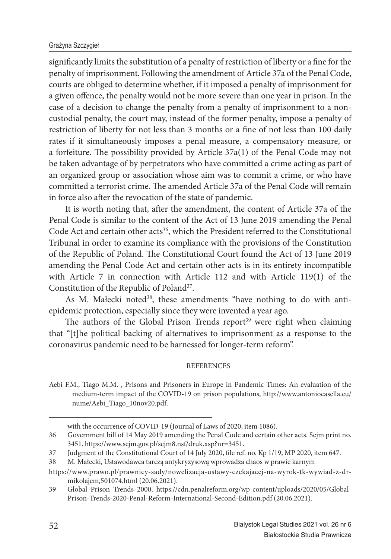#### Grażyna Szczygieł

significantly limits the substitution of a penalty of restriction of liberty or a fine for the penalty of imprisonment. Following the amendment of Article 37a of the Penal Code, courts are obliged to determine whether, if it imposed a penalty of imprisonment for a given offence, the penalty would not be more severe than one year in prison. In the case of a decision to change the penalty from a penalty of imprisonment to a noncustodial penalty, the court may, instead of the former penalty, impose a penalty of restriction of liberty for not less than 3 months or a fine of not less than 100 daily rates if it simultaneously imposes a penal measure, a compensatory measure, or a forfeiture. The possibility provided by Article  $37a(1)$  of the Penal Code may not be taken advantage of by perpetrators who have committed a crime acting as part of an organized group or association whose aim was to commit a crime, or who have committed a terrorist crime. The amended Article 37a of the Penal Code will remain in force also after the revocation of the state of pandemic.

It is worth noting that, after the amendment, the content of Article 37a of the Penal Code is similar to the content of the Act of 13 June 2019 amending the Penal Code Act and certain other acts<sup>36</sup>, which the President referred to the Constitutional Tribunal in order to examine its compliance with the provisions of the Constitution of the Republic of Poland. The Constitutional Court found the Act of 13 June 2019 amending the Penal Code Act and certain other acts is in its entirety incompatible with Article 7 in connection with Article 112 and with Article 119(1) of the Constitution of the Republic of Poland<sup>37</sup>.

As M. Małecki noted<sup>38</sup>, these amendments "have nothing to do with antiepidemic protection, especially since they were invented a year ago.

The authors of the Global Prison Trends report<sup>39</sup> were right when claiming that "[t]he political backing of alternatives to imprisonment as a response to the coronavirus pandemic need to be harnessed for longer-term reform".

#### **REFERENCES**

Aebi F.M., Tiago M.M. , Prisons and Prisoners in Europe in Pandemic Times: An evaluation of the medium-term impact of the COVID-19 on prison populations, http://www.antoniocasella.eu/ nume/Aebi\_Tiago\_10nov20.pdf.

with the occurrence of COVID-19 (Journal of Laws of 2020, item 1086).

<sup>36</sup> Government bill of 14 May 2019 amending the Penal Code and certain other acts. Sejm print no. 3451. https://www.sejm.gov.pl/sejm8.nsf/druk.xsp?nr=3451.

<sup>37</sup> Judgment of the Constitutional Court of 14 July 2020, file ref. no. Kp 1/19, MP 2020, item 647.

<sup>38</sup> M. Małecki, Ustawodawca tarczą antykryzysową wprowadza chaos w prawie karnym

https://www.prawo.pl/prawnicy-sady/nowelizacja-ustawy-czekajacej-na-wyrok-tk-wywiad-z-drmikolajem,501074.html (20.06.2021).

<sup>39</sup> Global Prison Trends 2000, https://cdn.penalreform.org/wp-content/uploads/2020/05/Global-Prison-Trends-2020-Penal-Reform-International-Second-Edition.pdf (20.06.2021).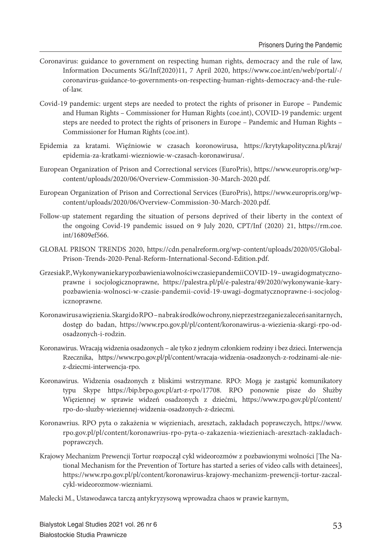- Coronavirus: guidance to government on respecting human rights, democracy and the rule of law, Information Documents SG/Inf(2020)11, 7 April 2020, https://www.coe.int/en/web/portal/-/ coronavirus-guidance-to-governments-on-respecting-human-rights-democracy-and-the-ruleof-law.
- Covid-19 pandemic: urgent steps are needed to protect the rights of prisoner in Europe Pandemic and Human Rights – Commissioner for Human Rights (coe.int), COVID-19 pandemic: urgent steps are needed to protect the rights of prisoners in Europe – Pandemic and Human Rights – Commissioner for Human Rights (coe.int).
- Epidemia za kratami. Więźniowie w czasach koronowirusa, https://krytykapolityczna.pl/kraj/ epidemia-za-kratkami-wiezniowie-w-czasach-koronawirusa/.
- European Organization of Prison and Correctional services (EuroPris), https://www.europris.org/wpcontent/uploads/2020/06/Overview-Commission-30-March-2020.pdf.
- European Organization of Prison and Correctional Services (EuroPris), https://www.europris.org/wpcontent/uploads/2020/06/Overview-Commission-30-March-2020.pdf.
- Follow-up statement regarding the situation of persons deprived of their liberty in the context of the ongoing Covid-19 pandemic issued on 9 July 2020, CPT/Inf (2020) 21, https://rm.coe. int/16809ef566.
- GLOBAL PRISON TRENDS 2020, https://cdn.penalreform.org/wp-content/uploads/2020/05/Global-Prison-Trends-2020-Penal-Reform-International-Second-Edition.pdf.
- Grzesiak P., Wykonywanie kary pozbawienia wolności w czasie pandemii COVID-19 uwagi dogmatycznoprawne i socjologicznoprawne, https://palestra.pl/pl/e-palestra/49/2020/wykonywanie-karypozbawienia-wolnosci-w-czasie-pandemii-covid-19-uwagi-dogmatycznoprawne-i-socjologicznoprawne.
- Koronawirus a więzienia. Skargi do RPO na brak środków ochrony, nieprzestrzeganie zaleceń sanitarnych, dostęp do badan, https://www.rpo.gov.pl/pl/content/koronawirus-a-wiezienia-skargi-rpo-odosadzonych-i-rodzin.
- Koronawirus. Wracają widzenia osadzonych ale tyko z jednym członkiem rodziny i bez dzieci. Interwencja Rzecznika, https://www.rpo.gov.pl/pl/content/wracaja-widzenia-osadzonych-z-rodzinami-ale-niez-dziecmi-interwencja-rpo.
- Koronawirus. Widzenia osadzonych z bliskimi wstrzymane. RPO: Mogą je zastąpić komunikatory typu Skype https://bip.brpo.gov.pl/art-z-rpo/17708. RPO ponownie pisze do Służby Więziennej w sprawie widzeń osadzonych z dziećmi, https://www.rpo.gov.pl/pl/content/ rpo-do-sluzby-wieziennej-widzenia-osadzonych-z-dziecmi.
- Koronawrius. RPO pyta o zakażenia w więzieniach, aresztach, zakładach poprawczych, https://www. rpo.gov.pl/pl/content/koronawrius-rpo-pyta-o-zakazenia-wiezieniach-aresztach-zakladachpoprawczych.
- Krajowy Mechanizm Prewencji Tortur rozpoczął cykl wideorozmów z pozbawionymi wolności [The National Mechanism for the Prevention of Torture has started a series of video calls with detainees], https://www.rpo.gov.pl/pl/content/koronawirus-krajowy-mechanizm-prewencji-tortur-zaczalcykl-wideorozmow-wiezniami.
- Małecki M., Ustawodawca tarczą antykryzysową wprowadza chaos w prawie karnym,